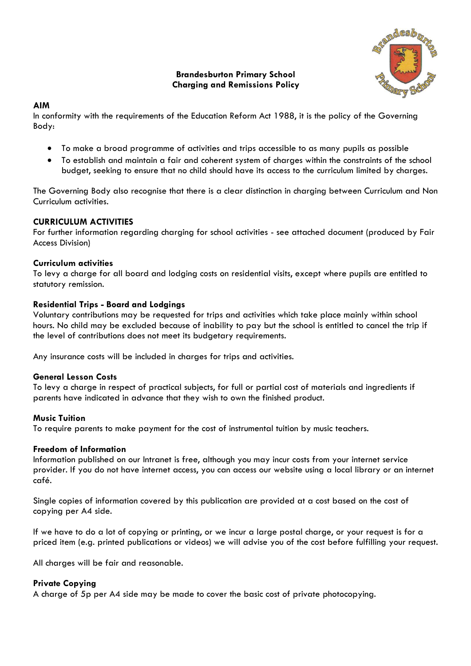# **Brandesburton Primary School Charging and Remissions Policy**



# **AIM**

In conformity with the requirements of the Education Reform Act 1988, it is the policy of the Governing Body:

- To make a broad programme of activities and trips accessible to as many pupils as possible
- To establish and maintain a fair and coherent system of charges within the constraints of the school budget, seeking to ensure that no child should have its access to the curriculum limited by charges.

The Governing Body also recognise that there is a clear distinction in charging between Curriculum and Non Curriculum activities.

## **CURRICULUM ACTIVITIES**

For further information regarding charging for school activities - see attached document (produced by Fair Access Division)

## **Curriculum activities**

To levy a charge for all board and lodging costs on residential visits, except where pupils are entitled to statutory remission.

#### **Residential Trips - Board and Lodgings**

Voluntary contributions may be requested for trips and activities which take place mainly within school hours. No child may be excluded because of inability to pay but the school is entitled to cancel the trip if the level of contributions does not meet its budgetary requirements.

Any insurance costs will be included in charges for trips and activities.

#### **General Lesson Costs**

To levy a charge in respect of practical subjects, for full or partial cost of materials and ingredients if parents have indicated in advance that they wish to own the finished product.

#### **Music Tuition**

To require parents to make payment for the cost of instrumental tuition by music teachers.

#### **Freedom of Information**

Information published on our Intranet is free, although you may incur costs from your internet service provider. If you do not have internet access, you can access our website using a local library or an internet café.

Single copies of information covered by this publication are provided at a cost based on the cost of copying per A4 side.

If we have to do a lot of copying or printing, or we incur a large postal charge, or your request is for a priced item (e.g. printed publications or videos) we will advise you of the cost before fulfilling your request.

All charges will be fair and reasonable.

#### **Private Copying**

A charge of 5p per A4 side may be made to cover the basic cost of private photocopying.